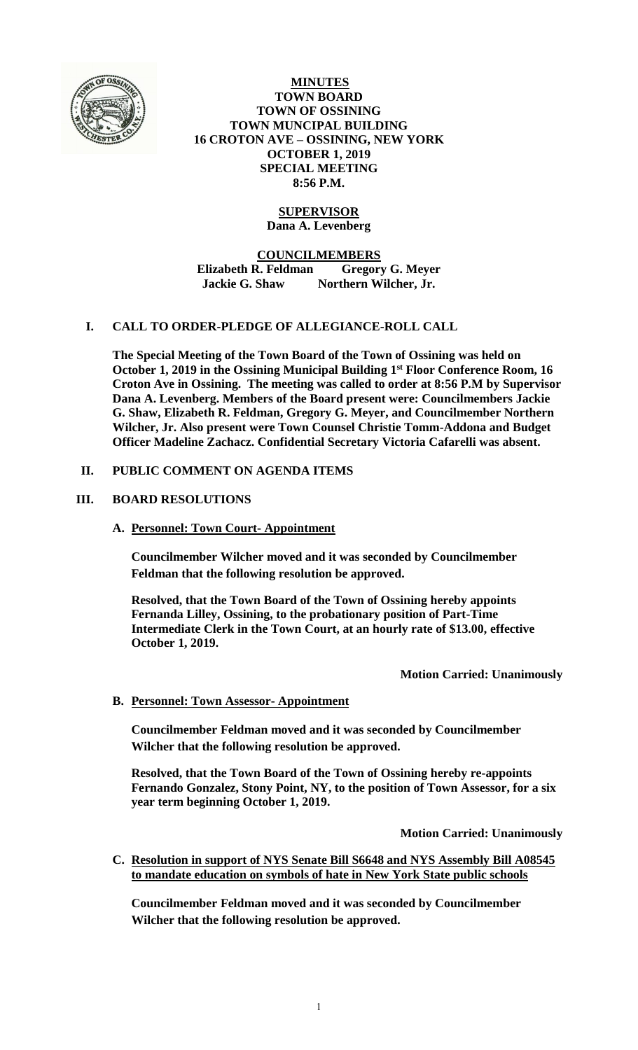

**MINUTES TOWN BOARD TOWN OF OSSINING TOWN MUNCIPAL BUILDING 16 CROTON AVE – OSSINING, NEW YORK OCTOBER 1, 2019 SPECIAL MEETING 8:56 P.M.**

# **SUPERVISOR**

**Dana A. Levenberg**

**COUNCILMEMBERS**

**Elizabeth R. Feldman Gregory G. Meyer Jackie G. Shaw Northern Wilcher, Jr.**

## **I. CALL TO ORDER-PLEDGE OF ALLEGIANCE-ROLL CALL**

**The Special Meeting of the Town Board of the Town of Ossining was held on October 1, 2019 in the Ossining Municipal Building 1 st Floor Conference Room, 16 Croton Ave in Ossining. The meeting was called to order at 8:56 P.M by Supervisor Dana A. Levenberg. Members of the Board present were: Councilmembers Jackie G. Shaw, Elizabeth R. Feldman, Gregory G. Meyer, and Councilmember Northern Wilcher, Jr. Also present were Town Counsel Christie Tomm-Addona and Budget Officer Madeline Zachacz. Confidential Secretary Victoria Cafarelli was absent.**

## **II. PUBLIC COMMENT ON AGENDA ITEMS**

## **III. BOARD RESOLUTIONS**

## **A. Personnel: Town Court- Appointment**

**Councilmember Wilcher moved and it was seconded by Councilmember Feldman that the following resolution be approved.**

**Resolved, that the Town Board of the Town of Ossining hereby appoints Fernanda Lilley, Ossining, to the probationary position of Part-Time Intermediate Clerk in the Town Court, at an hourly rate of \$13.00, effective October 1, 2019.**

## **Motion Carried: Unanimously**

## **B. Personnel: Town Assessor- Appointment**

**Councilmember Feldman moved and it was seconded by Councilmember Wilcher that the following resolution be approved.**

**Resolved, that the Town Board of the Town of Ossining hereby re-appoints Fernando Gonzalez, Stony Point, NY, to the position of Town Assessor, for a six year term beginning October 1, 2019.**

**Motion Carried: Unanimously**

**C. Resolution in support of NYS Senate Bill S6648 and NYS Assembly Bill A08545 to mandate education on symbols of hate in New York State public schools**

**Councilmember Feldman moved and it was seconded by Councilmember Wilcher that the following resolution be approved.**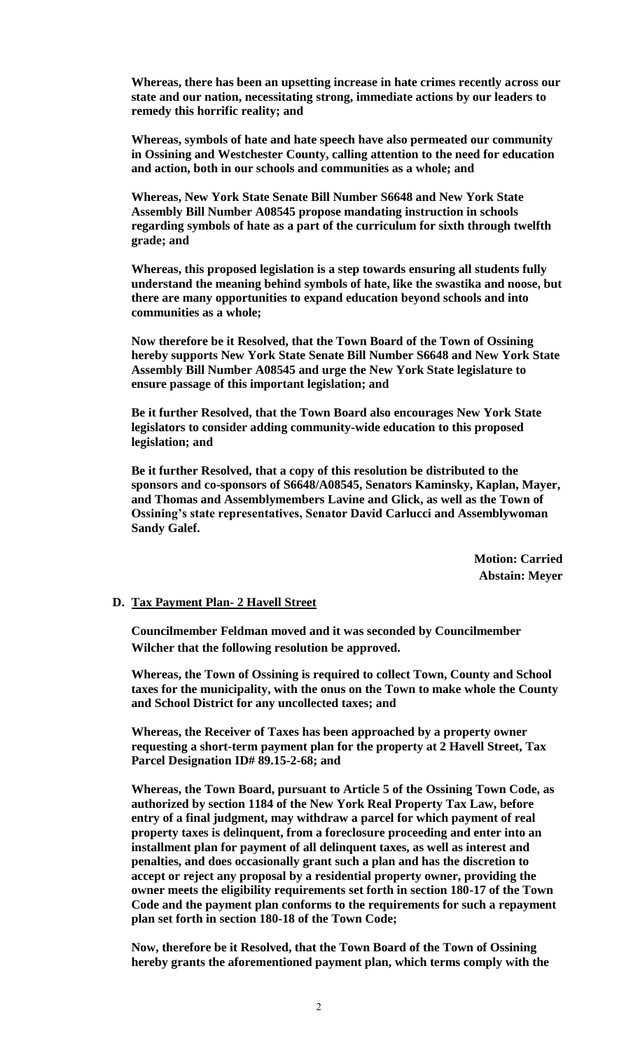**Whereas, there has been an upsetting increase in hate crimes recently across our state and our nation, necessitating strong, immediate actions by our leaders to remedy this horrific reality; and**

**Whereas, symbols of hate and hate speech have also permeated our community in Ossining and Westchester County, calling attention to the need for education and action, both in our schools and communities as a whole; and** 

**Whereas, New York State Senate Bill Number S6648 and New York State Assembly Bill Number A08545 propose mandating instruction in schools regarding symbols of hate as a part of the curriculum for sixth through twelfth grade; and**

**Whereas, this proposed legislation is a step towards ensuring all students fully understand the meaning behind symbols of hate, like the swastika and noose, but there are many opportunities to expand education beyond schools and into communities as a whole;** 

**Now therefore be it Resolved, that the Town Board of the Town of Ossining hereby supports New York State Senate Bill Number S6648 and New York State Assembly Bill Number A08545 and urge the New York State legislature to ensure passage of this important legislation; and** 

**Be it further Resolved, that the Town Board also encourages New York State legislators to consider adding community-wide education to this proposed legislation; and**

**Be it further Resolved, that a copy of this resolution be distributed to the sponsors and co-sponsors of S6648/A08545, Senators Kaminsky, Kaplan, Mayer, and Thomas and Assemblymembers Lavine and Glick, as well as the Town of Ossining's state representatives, Senator David Carlucci and Assemblywoman Sandy Galef.**

> **Motion: Carried Abstain: Meyer**

#### **D. Tax Payment Plan- 2 Havell Street**

**Councilmember Feldman moved and it was seconded by Councilmember Wilcher that the following resolution be approved.**

**Whereas, the Town of Ossining is required to collect Town, County and School taxes for the municipality, with the onus on the Town to make whole the County and School District for any uncollected taxes; and**

**Whereas, the Receiver of Taxes has been approached by a property owner requesting a short-term payment plan for the property at 2 Havell Street, Tax Parcel Designation ID# 89.15-2-68; and**

**Whereas, the Town Board, pursuant to Article 5 of the Ossining Town Code, as authorized by section 1184 of the New York Real Property Tax Law, before entry of a final judgment, may withdraw a parcel for which payment of real property taxes is delinquent, from a foreclosure proceeding and enter into an installment plan for payment of all delinquent taxes, as well as interest and penalties, and does occasionally grant such a plan and has the discretion to accept or reject any proposal by a residential property owner, providing the owner meets the eligibility requirements set forth in section 180-17 of the Town Code and the payment plan conforms to the requirements for such a repayment plan set forth in section 180-18 of the Town Code;**

**Now, therefore be it Resolved, that the Town Board of the Town of Ossining hereby grants the aforementioned payment plan, which terms comply with the**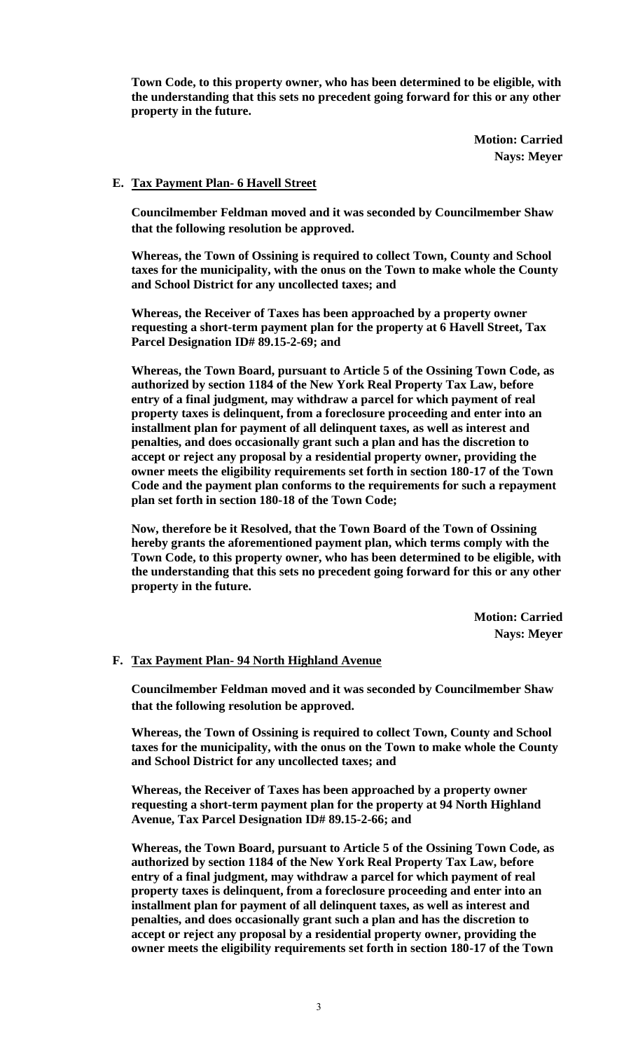**Town Code, to this property owner, who has been determined to be eligible, with the understanding that this sets no precedent going forward for this or any other property in the future.**

> **Motion: Carried Nays: Meyer**

#### **E. Tax Payment Plan- 6 Havell Street**

**Councilmember Feldman moved and it was seconded by Councilmember Shaw that the following resolution be approved.**

**Whereas, the Town of Ossining is required to collect Town, County and School taxes for the municipality, with the onus on the Town to make whole the County and School District for any uncollected taxes; and**

**Whereas, the Receiver of Taxes has been approached by a property owner requesting a short-term payment plan for the property at 6 Havell Street, Tax Parcel Designation ID# 89.15-2-69; and**

**Whereas, the Town Board, pursuant to Article 5 of the Ossining Town Code, as authorized by section 1184 of the New York Real Property Tax Law, before entry of a final judgment, may withdraw a parcel for which payment of real property taxes is delinquent, from a foreclosure proceeding and enter into an installment plan for payment of all delinquent taxes, as well as interest and penalties, and does occasionally grant such a plan and has the discretion to accept or reject any proposal by a residential property owner, providing the owner meets the eligibility requirements set forth in section 180-17 of the Town Code and the payment plan conforms to the requirements for such a repayment plan set forth in section 180-18 of the Town Code;**

**Now, therefore be it Resolved, that the Town Board of the Town of Ossining hereby grants the aforementioned payment plan, which terms comply with the Town Code, to this property owner, who has been determined to be eligible, with the understanding that this sets no precedent going forward for this or any other property in the future.**

> **Motion: Carried Nays: Meyer**

#### **F. Tax Payment Plan- 94 North Highland Avenue**

**Councilmember Feldman moved and it was seconded by Councilmember Shaw that the following resolution be approved.**

**Whereas, the Town of Ossining is required to collect Town, County and School taxes for the municipality, with the onus on the Town to make whole the County and School District for any uncollected taxes; and**

**Whereas, the Receiver of Taxes has been approached by a property owner requesting a short-term payment plan for the property at 94 North Highland Avenue, Tax Parcel Designation ID# 89.15-2-66; and**

**Whereas, the Town Board, pursuant to Article 5 of the Ossining Town Code, as authorized by section 1184 of the New York Real Property Tax Law, before entry of a final judgment, may withdraw a parcel for which payment of real property taxes is delinquent, from a foreclosure proceeding and enter into an installment plan for payment of all delinquent taxes, as well as interest and penalties, and does occasionally grant such a plan and has the discretion to accept or reject any proposal by a residential property owner, providing the owner meets the eligibility requirements set forth in section 180-17 of the Town**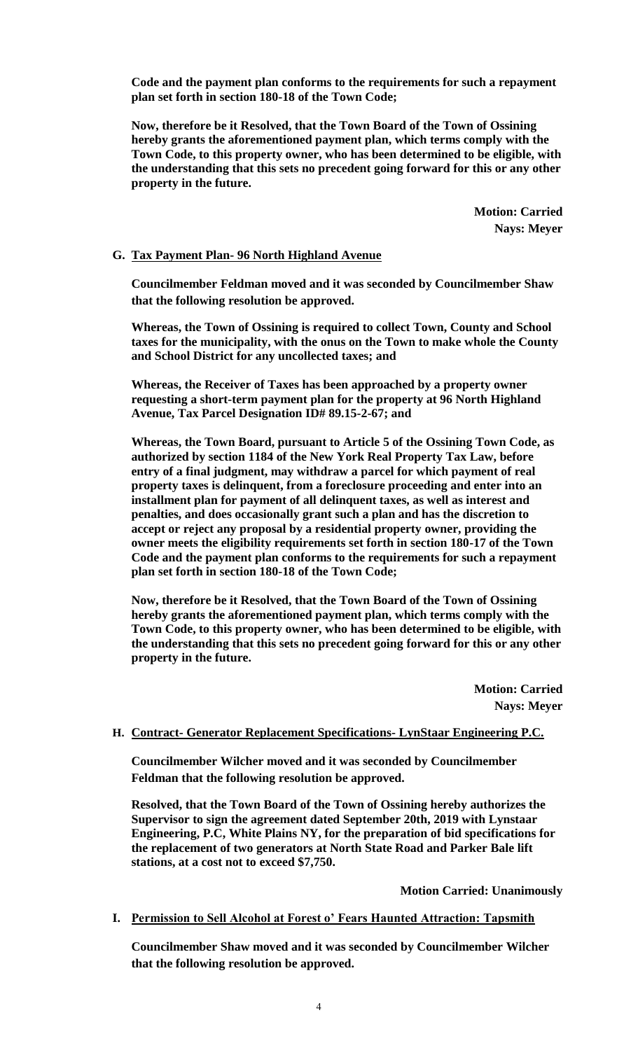**Code and the payment plan conforms to the requirements for such a repayment plan set forth in section 180-18 of the Town Code;**

**Now, therefore be it Resolved, that the Town Board of the Town of Ossining hereby grants the aforementioned payment plan, which terms comply with the Town Code, to this property owner, who has been determined to be eligible, with the understanding that this sets no precedent going forward for this or any other property in the future.**

> **Motion: Carried Nays: Meyer**

#### **G. Tax Payment Plan- 96 North Highland Avenue**

**Councilmember Feldman moved and it was seconded by Councilmember Shaw that the following resolution be approved.**

**Whereas, the Town of Ossining is required to collect Town, County and School taxes for the municipality, with the onus on the Town to make whole the County and School District for any uncollected taxes; and**

**Whereas, the Receiver of Taxes has been approached by a property owner requesting a short-term payment plan for the property at 96 North Highland Avenue, Tax Parcel Designation ID# 89.15-2-67; and**

**Whereas, the Town Board, pursuant to Article 5 of the Ossining Town Code, as authorized by section 1184 of the New York Real Property Tax Law, before entry of a final judgment, may withdraw a parcel for which payment of real property taxes is delinquent, from a foreclosure proceeding and enter into an installment plan for payment of all delinquent taxes, as well as interest and penalties, and does occasionally grant such a plan and has the discretion to accept or reject any proposal by a residential property owner, providing the owner meets the eligibility requirements set forth in section 180-17 of the Town Code and the payment plan conforms to the requirements for such a repayment plan set forth in section 180-18 of the Town Code;**

**Now, therefore be it Resolved, that the Town Board of the Town of Ossining hereby grants the aforementioned payment plan, which terms comply with the Town Code, to this property owner, who has been determined to be eligible, with the understanding that this sets no precedent going forward for this or any other property in the future.**

> **Motion: Carried Nays: Meyer**

### **H. Contract- Generator Replacement Specifications- LynStaar Engineering P.C.**

**Councilmember Wilcher moved and it was seconded by Councilmember Feldman that the following resolution be approved.**

**Resolved, that the Town Board of the Town of Ossining hereby authorizes the Supervisor to sign the agreement dated September 20th, 2019 with Lynstaar Engineering, P.C, White Plains NY, for the preparation of bid specifications for the replacement of two generators at North State Road and Parker Bale lift stations, at a cost not to exceed \$7,750.**

**Motion Carried: Unanimously**

#### **I. Permission to Sell Alcohol at Forest o' Fears Haunted Attraction: Tapsmith**

**Councilmember Shaw moved and it was seconded by Councilmember Wilcher that the following resolution be approved.**